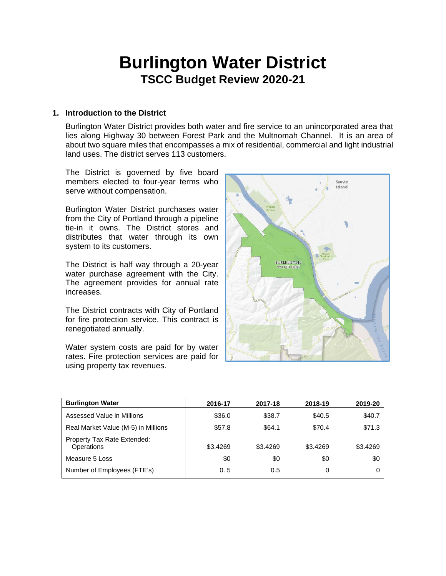# **Burlington Water District TSCC Budget Review 2020-21**

#### **1. Introduction to the District**

Burlington Water District provides both water and fire service to an unincorporated area that lies along Highway 30 between Forest Park and the Multnomah Channel. It is an area of about two square miles that encompasses a mix of residential, commercial and light industrial land uses. The district serves 113 customers.

The District is governed by five board members elected to four-year terms who serve without compensation.

Burlington Water District purchases water from the City of Portland through a pipeline tie-in it owns. The District stores and distributes that water through its own system to its customers.

The District is half way through a 20-year water purchase agreement with the City. The agreement provides for annual rate increases.

The District contracts with City of Portland for fire protection service. This contract is renegotiated annually.

Water system costs are paid for by water rates. Fire protection services are paid for using property tax revenues.



| <b>Burlington Water</b>                   | 2016-17  | 2017-18  | 2018-19  | 2019-20  |
|-------------------------------------------|----------|----------|----------|----------|
| Assessed Value in Millions                | \$36.0   | \$38.7   | \$40.5   | \$40.7   |
| Real Market Value (M-5) in Millions       | \$57.8   | \$64.1   | \$70.4   | \$71.3   |
| Property Tax Rate Extended:<br>Operations | \$3.4269 | \$3.4269 | \$3.4269 | \$3.4269 |
| Measure 5 Loss                            | \$0      | \$0      | \$0      | \$0      |
| Number of Employees (FTE's)               | 0.5      | 0.5      | 0        |          |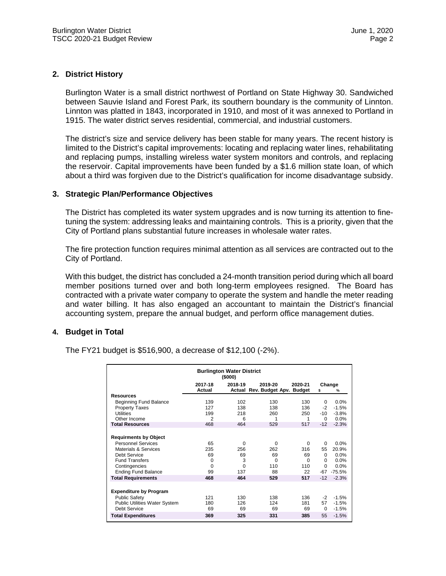#### **2. District History**

Burlington Water is a small district northwest of Portland on State Highway 30. Sandwiched between Sauvie Island and Forest Park, its southern boundary is the community of Linnton. Linnton was platted in 1843, incorporated in 1910, and most of it was annexed to Portland in 1915. The water district serves residential, commercial, and industrial customers.

The district's size and service delivery has been stable for many years. The recent history is limited to the District's capital improvements: locating and replacing water lines, rehabilitating and replacing pumps, installing wireless water system monitors and controls, and replacing the reservoir. Capital improvements have been funded by a \$1.6 million state loan, of which about a third was forgiven due to the District's qualification for income disadvantage subsidy.

#### **3. Strategic Plan/Performance Objectives**

The District has completed its water system upgrades and is now turning its attention to finetuning the system: addressing leaks and maintaining controls. This is a priority, given that the City of Portland plans substantial future increases in wholesale water rates.

The fire protection function requires minimal attention as all services are contracted out to the City of Portland.

With this budget, the district has concluded a 24-month transition period during which all board member positions turned over and both long-term employees resigned. The Board has contracted with a private water company to operate the system and handle the meter reading and water billing. It has also engaged an accountant to maintain the District's financial accounting system, prepare the annual budget, and perform office management duties.

#### **4. Budget in Total**

The FY21 budget is \$516,900, a decrease of \$12,100 (-2%).

| <b>Burlington Water District</b><br>(\$000) |                   |          |                                           |          |          |          |  |  |  |
|---------------------------------------------|-------------------|----------|-------------------------------------------|----------|----------|----------|--|--|--|
|                                             | 2017-18<br>Actual | 2018-19  | 2019-20<br>Actual Rev. Budget Apv. Budget | 2020-21  | Change   |          |  |  |  |
| <b>Resources</b>                            |                   |          |                                           |          | s        | %        |  |  |  |
| Beginning Fund Balance                      | 139               | 102      | 130                                       | 130      | $\Omega$ | 0.0%     |  |  |  |
| <b>Property Taxes</b>                       | 127               | 138      | 138                                       | 136      | $-2$     | $-1.5%$  |  |  |  |
| Utilities                                   | 199               | 218      | 260                                       | 250      | $-10$    | $-3.8%$  |  |  |  |
| Other Income                                | 2                 | 6        | 1                                         | 1        | $\Omega$ | 0.0%     |  |  |  |
| <b>Total Resources</b>                      | 468               | 464      | 529                                       | 517      | $-12$    | $-2.3%$  |  |  |  |
|                                             |                   |          |                                           |          |          |          |  |  |  |
| <b>Requirments by Object</b>                |                   |          |                                           |          |          |          |  |  |  |
| <b>Personnel Services</b>                   | 65                | $\Omega$ | $\Omega$                                  | $\Omega$ | $\Omega$ | 0.0%     |  |  |  |
| Materials & Services                        | 235               | 256      | 262                                       | 316      | 55       | 20.9%    |  |  |  |
| Debt Service                                | 69                | 69       | 69                                        | 69       | $\Omega$ | 0.0%     |  |  |  |
| <b>Fund Transfers</b>                       | 0                 | 3        | $\Omega$                                  | $\Omega$ | $\Omega$ | 0.0%     |  |  |  |
| Contingencies                               | 0                 | $\Omega$ | 110                                       | 110      | $\Omega$ | 0.0%     |  |  |  |
| <b>Ending Fund Balance</b>                  | 99                | 137      | 88                                        | 22       | -67      | $-75.5%$ |  |  |  |
| <b>Total Requirements</b>                   | 468               | 464      | 529                                       | 517      | $-12$    | $-2.3%$  |  |  |  |
|                                             |                   |          |                                           |          |          |          |  |  |  |
| <b>Expenditure by Program</b>               |                   |          |                                           |          |          |          |  |  |  |
| <b>Public Safety</b>                        | 121               | 130      | 138                                       | 136      | $-2$     | $-1.5%$  |  |  |  |
| Public Utilities Water System               | 180               | 126      | 124                                       | 181      | 57       | $-1.5%$  |  |  |  |
| <b>Debt Service</b>                         | 69                | 69       | 69                                        | 69       | $\Omega$ | $-1.5%$  |  |  |  |
| <b>Total Expenditures</b>                   | 369               | 325      | 331                                       | 385      | 55       | $-1.5%$  |  |  |  |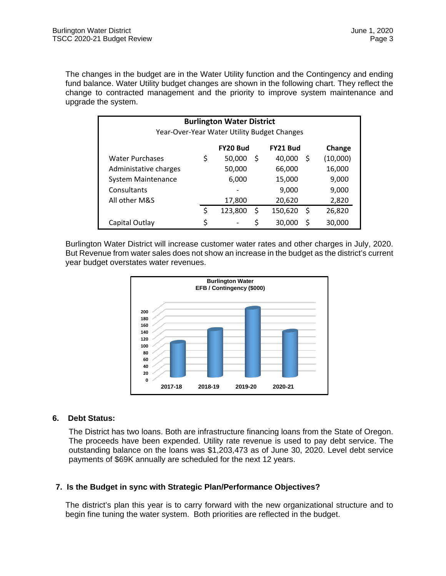The changes in the budget are in the Water Utility function and the Contingency and ending fund balance. Water Utility budget changes are shown in the following chart. They reflect the change to contracted management and the priority to improve system maintenance and upgrade the system.

| <b>Burlington Water District</b><br>Year-Over-Year Water Utility Budget Changes |    |          |          |         |    |          |
|---------------------------------------------------------------------------------|----|----------|----------|---------|----|----------|
|                                                                                 |    | FY20 Bud | FY21 Bud | Change  |    |          |
| <b>Water Purchases</b>                                                          | \$ | 50,000   | S        | 40,000  | S  | (10,000) |
| Administative charges                                                           |    | 50,000   |          | 66,000  |    | 16,000   |
| <b>System Maintenance</b>                                                       |    | 6,000    |          | 15,000  |    | 9,000    |
| Consultants                                                                     |    |          |          | 9,000   |    | 9,000    |
| All other M&S                                                                   |    | 17,800   |          | 20,620  |    | 2,820    |
|                                                                                 | \$ | 123,800  | \$       | 150,620 | \$ | 26,820   |
| Capital Outlay                                                                  | \$ |          | \$       | 30,000  | Ś  | 30,000   |

Burlington Water District will increase customer water rates and other charges in July, 2020. But Revenue from water sales does not show an increase in the budget as the district's current year budget overstates water revenues.



## **6. Debt Status:**

The District has two loans. Both are infrastructure financing loans from the State of Oregon. The proceeds have been expended. Utility rate revenue is used to pay debt service. The outstanding balance on the loans was \$1,203,473 as of June 30, 2020. Level debt service payments of \$69K annually are scheduled for the next 12 years.

## **7. Is the Budget in sync with Strategic Plan/Performance Objectives?**

The district's plan this year is to carry forward with the new organizational structure and to begin fine tuning the water system. Both priorities are reflected in the budget.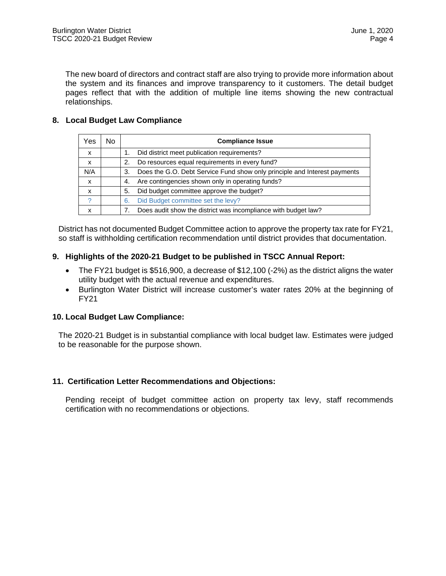The new board of directors and contract staff are also trying to provide more information about the system and its finances and improve transparency to it customers. The detail budget pages reflect that with the addition of multiple line items showing the new contractual relationships.

# **8. Local Budget Law Compliance**

| Yes           | No | <b>Compliance Issue</b>                                                         |
|---------------|----|---------------------------------------------------------------------------------|
| x             |    | Did district meet publication requirements?                                     |
| x             |    | Do resources equal requirements in every fund?<br>2.                            |
| N/A           |    | Does the G.O. Debt Service Fund show only principle and Interest payments<br>3. |
| X             |    | Are contingencies shown only in operating funds?<br>4.                          |
| x             |    | Did budget committee approve the budget?<br>5.                                  |
| $\mathcal{P}$ |    | Did Budget committee set the levy?<br>6.                                        |
| x             |    | Does audit show the district was incompliance with budget law?                  |

District has not documented Budget Committee action to approve the property tax rate for FY21, so staff is withholding certification recommendation until district provides that documentation.

## **9. Highlights of the 2020-21 Budget to be published in TSCC Annual Report:**

- The FY21 budget is \$516,900, a decrease of \$12,100 (-2%) as the district aligns the water utility budget with the actual revenue and expenditures.
- Burlington Water District will increase customer's water rates 20% at the beginning of FY21

## **10. Local Budget Law Compliance:**

The 2020-21 Budget is in substantial compliance with local budget law. Estimates were judged to be reasonable for the purpose shown.

## **11. Certification Letter Recommendations and Objections:**

Pending receipt of budget committee action on property tax levy, staff recommends certification with no recommendations or objections.